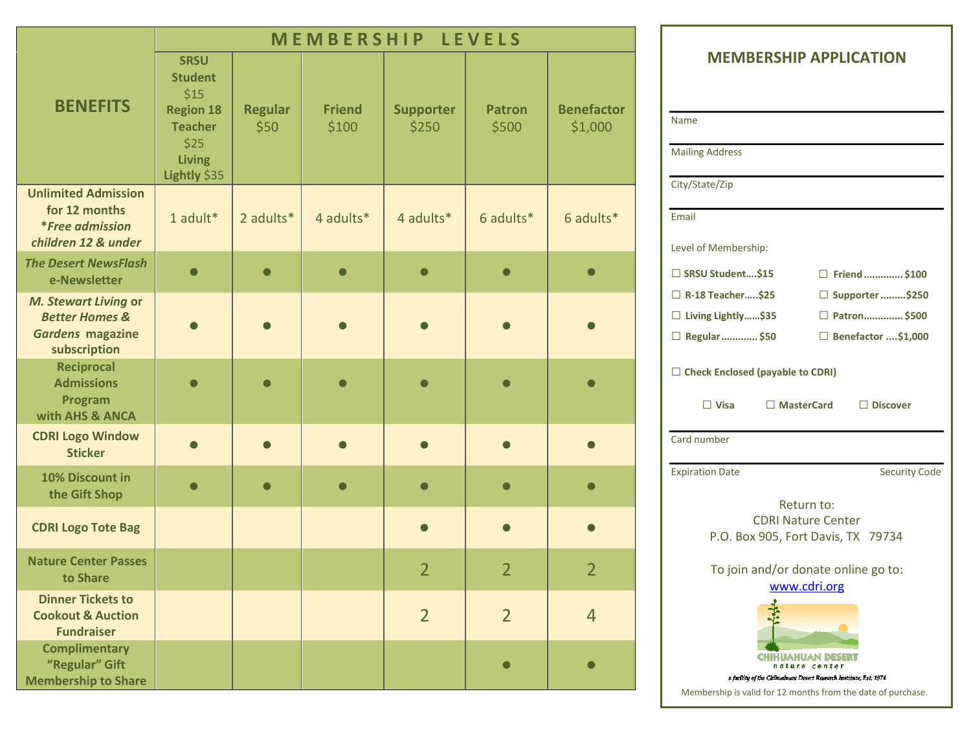|                                                                                                     | MEMBERSHIP LEVELS                                                                                                    |                        |                         |                           |                        |                              |
|-----------------------------------------------------------------------------------------------------|----------------------------------------------------------------------------------------------------------------------|------------------------|-------------------------|---------------------------|------------------------|------------------------------|
| <b>BENEFITS</b>                                                                                     | <b>SRSU</b><br><b>Student</b><br>\$15<br><b>Region 18</b><br><b>Teacher</b><br>\$25<br><b>Living</b><br>Lightly \$35 | <b>Regular</b><br>\$50 | <b>Friend</b><br>\$100  | <b>Supporter</b><br>\$250 | <b>Patron</b><br>\$500 | <b>Benefactor</b><br>\$1,000 |
| <b>Unlimited Admission</b><br>for 12 months<br><i>*Free admission</i><br>children 12 & under        | 1 adult*                                                                                                             | 2 adults*              | 4 adults*               | 4 adults*                 | 6 adults*              | 6 adults*                    |
| <b>The Desert NewsFlash</b><br>e-Newsletter                                                         | $\bullet$                                                                                                            |                        | $\bullet$               |                           |                        | $\bullet$                    |
| <b>M. Stewart Living or</b><br><b>Better Homes &amp;</b><br><b>Gardens magazine</b><br>subscription |                                                                                                                      |                        |                         |                           |                        |                              |
| <b>Reciprocal</b><br><b>Admissions</b><br>Program<br>with AHS & ANCA                                |                                                                                                                      |                        |                         |                           |                        |                              |
| <b>CDRI Logo Window</b><br><b>Sticker</b>                                                           |                                                                                                                      | $\bullet$              |                         |                           |                        | $\bullet$                    |
| 10% Discount in<br>the Gift Shop                                                                    | $\qquad \qquad \blacksquare$                                                                                         | ∩                      | $\qquad \qquad \bullet$ |                           |                        | $\Box$                       |
| <b>CDRI Logo Tote Bag</b>                                                                           |                                                                                                                      |                        |                         |                           |                        | $\bullet$                    |
| <b>Nature Center Passes</b><br>to Share                                                             |                                                                                                                      |                        |                         | $\overline{2}$            | $\overline{2}$         | $\overline{2}$               |
| <b>Dinner Tickets to</b><br><b>Cookout &amp; Auction</b><br><b>Fundraiser</b>                       |                                                                                                                      |                        |                         | $\overline{2}$            | $\overline{2}$         | $\overline{4}$               |
| <b>Complimentary</b><br>"Regular" Gift<br><b>Membership to Share</b>                                |                                                                                                                      |                        |                         |                           | $\blacksquare$         | $\bigcap$                    |

## **MEMBERSHIP APPLICATION**

| Name                                                                      |                                                                                                                                      |  |  |  |
|---------------------------------------------------------------------------|--------------------------------------------------------------------------------------------------------------------------------------|--|--|--|
| <b>Mailing Address</b>                                                    |                                                                                                                                      |  |  |  |
| City/State/Zip                                                            |                                                                                                                                      |  |  |  |
| Email                                                                     |                                                                                                                                      |  |  |  |
| Level of Membership:                                                      |                                                                                                                                      |  |  |  |
| □ SRSU Student\$15                                                        | Friend\$100                                                                                                                          |  |  |  |
| $\Box$ R-18 Teacher\$25                                                   | □ Supporter \$250                                                                                                                    |  |  |  |
| □ Living Lightly\$35                                                      | □ Patron \$500                                                                                                                       |  |  |  |
| □ Regular  \$50                                                           | □ Benefactor \$1,000                                                                                                                 |  |  |  |
| $\Box$ Check Enclosed (payable to CDRI)<br>$\square$ Visa<br>□ MasterCard | $\Box$ Discover                                                                                                                      |  |  |  |
| Card number                                                               |                                                                                                                                      |  |  |  |
| <b>Expiration Date</b>                                                    | <b>Security Code</b>                                                                                                                 |  |  |  |
|                                                                           | Return to:<br><b>CDRI Nature Center</b><br>P.O. Box 905, Fort Davis, TX 79734<br>To join and/or donate online go to:<br>www.cdri.org |  |  |  |
| ure                                                                       | iahuan desi<br>center                                                                                                                |  |  |  |

a facility of the Chihualnum Desert Research Institute, Est. 1974

Membership is valid for 12 months from the date of purchase.